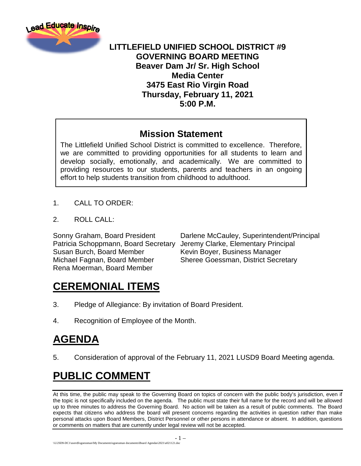

#### **LITTLEFIELD UNIFIED SCHOOL DISTRICT #9 GOVERNING BOARD MEETING Beaver Dam Jr/ Sr. High School Media Center 3475 East Rio Virgin Road Thursday, February 11, 2021 5:00 P.M.**

#### **Mission Statement**

The Littlefield Unified School District is committed to excellence. Therefore, we are committed to providing opportunities for all students to learn and develop socially, emotionally, and academically. We are committed to providing resources to our students, parents and teachers in an ongoing effort to help students transition from childhood to adulthood.

- 1. CALL TO ORDER:
- 2. ROLL CALL:

Patricia Schoppmann, Board Secretary Jeremy Clarke, Elementary Principal Susan Burch, Board Member Kevin Boyer, Business Manager Michael Fagnan, Board Member Sheree Goessman, District Secretary Rena Moerman, Board Member

Sonny Graham, Board President Darlene McCauley, Superintendent/Principal

# **CEREMONIAL ITEMS**

- 3. Pledge of Allegiance: By invitation of Board President.
- 4. Recognition of Employee of the Month.

# **AGENDA**

5. Consideration of approval of the February 11, 2021 LUSD9 Board Meeting agenda.

# **PUBLIC COMMENT**

At this time, the public may speak to the Governing Board on topics of concern with the public body's jurisdiction, even if the topic is not specifically included on the agenda. The public must state their full name for the record and will be allowed up to three minutes to address the Governing Board. No action will be taken as a result of public comments. The Board expects that citizens who address the board will present concerns regarding the activities in question rather than make personal attacks upon Board Members, District Personnel or other persons in attendance or absent. In addition, questions or comments on matters that are currently under legal review will not be accepted.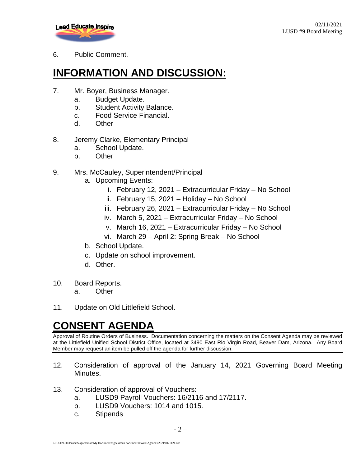

#### 6. Public Comment.

# **INFORMATION AND DISCUSSION:**

- 7. Mr. Boyer, Business Manager.
	- a. Budget Update.
	- b. Student Activity Balance.
	- c. Food Service Financial.
	- d. Other
- 8. Jeremy Clarke, Elementary Principal
	- a. School Update.
	- b. Other

#### 9. Mrs. McCauley, Superintendent/Principal

- a. Upcoming Events:
	- i. February 12, 2021 Extracurricular Friday No School
	- ii. February 15, 2021 Holiday No School
	- iii. February 26, 2021 Extracurricular Friday No School
	- iv. March 5, 2021 Extracurricular Friday No School
	- v. March 16, 2021 Extracurricular Friday No School
	- vi. March 29 April 2: Spring Break No School
- b. School Update.
- c. Update on school improvement.
- d. Other.
- 10. Board Reports.
	- a. Other
- 11. Update on Old Littlefield School.

# **CONSENT AGENDA**

Approval of Routine Orders of Business. Documentation concerning the matters on the Consent Agenda may be reviewed at the Littlefield Unified School District Office, located at 3490 East Rio Virgin Road, Beaver Dam, Arizona. Any Board Member may request an item be pulled off the agenda for further discussion.

- 12. Consideration of approval of the January 14, 2021 Governing Board Meeting Minutes.
- 13. Consideration of approval of Vouchers:
	- a. LUSD9 Payroll Vouchers: 16/2116 and 17/2117.
	- b. LUSD9 Vouchers: 1014 and 1015.
	- c. Stipends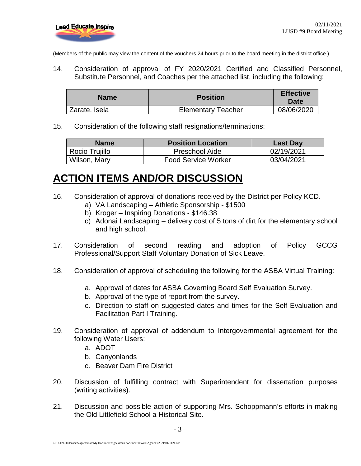(Members of the public may view the content of the vouchers 24 hours prior to the board meeting in the district office.)

14. Consideration of approval of FY 2020/2021 Certified and Classified Personnel, Substitute Personnel, and Coaches per the attached list, including the following:

| <b>Name</b>   | <b>Position</b>           | <b>Effective</b><br>Date |
|---------------|---------------------------|--------------------------|
| Zarate, Isela | <b>Elementary Teacher</b> | 08/06/2020               |

15. Consideration of the following staff resignations/terminations:

| <b>Name</b>    | <b>Position Location</b>   | <b>Last Day</b> |
|----------------|----------------------------|-----------------|
| Rocio Trujillo | <b>Preschool Aide</b>      | 02/19/2021      |
| Wilson, Mary   | <b>Food Service Worker</b> | 03/04/2021      |

#### **ACTION ITEMS AND/OR DISCUSSION**

- 16. Consideration of approval of donations received by the District per Policy KCD.
	- a) VA Landscaping Athletic Sponsorship \$1500
	- b) Kroger Inspiring Donations \$146.38
	- c) Adonai Landscaping delivery cost of 5 tons of dirt for the elementary school and high school.
- 17. Consideration of second reading and adoption of Policy GCCG Professional/Support Staff Voluntary Donation of Sick Leave.
- 18. Consideration of approval of scheduling the following for the ASBA Virtual Training:
	- a. Approval of dates for ASBA Governing Board Self Evaluation Survey.
	- b. Approval of the type of report from the survey.
	- c. Direction to staff on suggested dates and times for the Self Evaluation and Facilitation Part I Training.
- 19. Consideration of approval of addendum to Intergovernmental agreement for the following Water Users:
	- a. ADOT
	- b. Canyonlands
	- c. Beaver Dam Fire District
- 20. Discussion of fulfilling contract with Superintendent for dissertation purposes (writing activities).
- 21. Discussion and possible action of supporting Mrs. Schoppmann's efforts in making the Old Littlefield School a Historical Site.